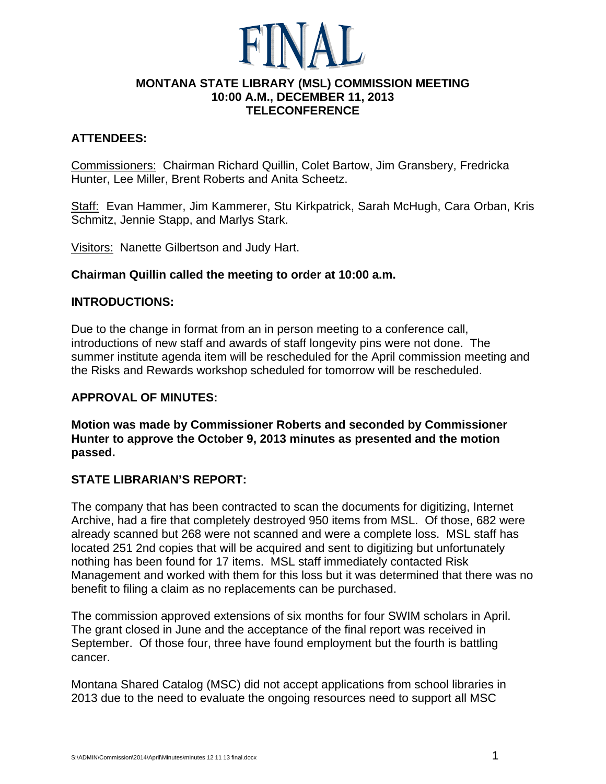

#### **MONTANA STATE LIBRARY (MSL) COMMISSION MEETING 10:00 A.M., DECEMBER 11, 2013 TELECONFERENCE**

# **ATTENDEES:**

Commissioners: Chairman Richard Quillin, Colet Bartow, Jim Gransbery, Fredricka Hunter, Lee Miller, Brent Roberts and Anita Scheetz.

Staff: Evan Hammer, Jim Kammerer, Stu Kirkpatrick, Sarah McHugh, Cara Orban, Kris Schmitz, Jennie Stapp, and Marlys Stark.

Visitors: Nanette Gilbertson and Judy Hart.

#### **Chairman Quillin called the meeting to order at 10:00 a.m.**

#### **INTRODUCTIONS:**

Due to the change in format from an in person meeting to a conference call, introductions of new staff and awards of staff longevity pins were not done. The summer institute agenda item will be rescheduled for the April commission meeting and the Risks and Rewards workshop scheduled for tomorrow will be rescheduled.

### **APPROVAL OF MINUTES:**

**Motion was made by Commissioner Roberts and seconded by Commissioner Hunter to approve the October 9, 2013 minutes as presented and the motion passed.** 

# **STATE LIBRARIAN'S REPORT:**

The company that has been contracted to scan the documents for digitizing, Internet Archive, had a fire that completely destroyed 950 items from MSL. Of those, 682 were already scanned but 268 were not scanned and were a complete loss. MSL staff has located 251 2nd copies that will be acquired and sent to digitizing but unfortunately nothing has been found for 17 items. MSL staff immediately contacted Risk Management and worked with them for this loss but it was determined that there was no benefit to filing a claim as no replacements can be purchased.

The commission approved extensions of six months for four SWIM scholars in April. The grant closed in June and the acceptance of the final report was received in September. Of those four, three have found employment but the fourth is battling cancer.

Montana Shared Catalog (MSC) did not accept applications from school libraries in 2013 due to the need to evaluate the ongoing resources need to support all MSC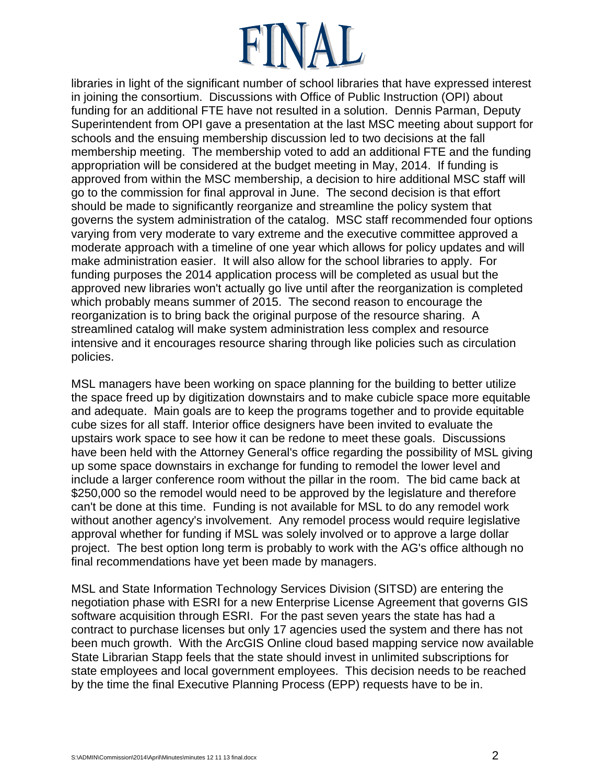libraries in light of the significant number of school libraries that have expressed interest in joining the consortium. Discussions with Office of Public Instruction (OPI) about funding for an additional FTE have not resulted in a solution. Dennis Parman, Deputy Superintendent from OPI gave a presentation at the last MSC meeting about support for schools and the ensuing membership discussion led to two decisions at the fall membership meeting. The membership voted to add an additional FTE and the funding appropriation will be considered at the budget meeting in May, 2014. If funding is approved from within the MSC membership, a decision to hire additional MSC staff will go to the commission for final approval in June. The second decision is that effort should be made to significantly reorganize and streamline the policy system that governs the system administration of the catalog. MSC staff recommended four options varying from very moderate to vary extreme and the executive committee approved a moderate approach with a timeline of one year which allows for policy updates and will make administration easier. It will also allow for the school libraries to apply. For funding purposes the 2014 application process will be completed as usual but the approved new libraries won't actually go live until after the reorganization is completed which probably means summer of 2015. The second reason to encourage the reorganization is to bring back the original purpose of the resource sharing. A streamlined catalog will make system administration less complex and resource intensive and it encourages resource sharing through like policies such as circulation policies.

MSL managers have been working on space planning for the building to better utilize the space freed up by digitization downstairs and to make cubicle space more equitable and adequate. Main goals are to keep the programs together and to provide equitable cube sizes for all staff. Interior office designers have been invited to evaluate the upstairs work space to see how it can be redone to meet these goals. Discussions have been held with the Attorney General's office regarding the possibility of MSL giving up some space downstairs in exchange for funding to remodel the lower level and include a larger conference room without the pillar in the room. The bid came back at \$250,000 so the remodel would need to be approved by the legislature and therefore can't be done at this time. Funding is not available for MSL to do any remodel work without another agency's involvement. Any remodel process would require legislative approval whether for funding if MSL was solely involved or to approve a large dollar project. The best option long term is probably to work with the AG's office although no final recommendations have yet been made by managers.

MSL and State Information Technology Services Division (SITSD) are entering the negotiation phase with ESRI for a new Enterprise License Agreement that governs GIS software acquisition through ESRI. For the past seven years the state has had a contract to purchase licenses but only 17 agencies used the system and there has not been much growth. With the ArcGIS Online cloud based mapping service now available State Librarian Stapp feels that the state should invest in unlimited subscriptions for state employees and local government employees. This decision needs to be reached by the time the final Executive Planning Process (EPP) requests have to be in.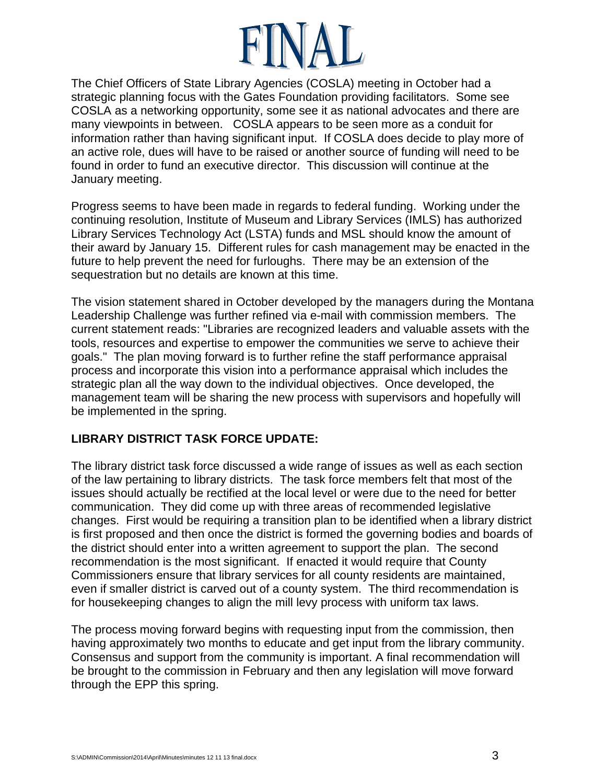

The Chief Officers of State Library Agencies (COSLA) meeting in October had a strategic planning focus with the Gates Foundation providing facilitators. Some see COSLA as a networking opportunity, some see it as national advocates and there are many viewpoints in between. COSLA appears to be seen more as a conduit for information rather than having significant input. If COSLA does decide to play more of an active role, dues will have to be raised or another source of funding will need to be found in order to fund an executive director. This discussion will continue at the January meeting.

Progress seems to have been made in regards to federal funding. Working under the continuing resolution, Institute of Museum and Library Services (IMLS) has authorized Library Services Technology Act (LSTA) funds and MSL should know the amount of their award by January 15. Different rules for cash management may be enacted in the future to help prevent the need for furloughs. There may be an extension of the sequestration but no details are known at this time.

The vision statement shared in October developed by the managers during the Montana Leadership Challenge was further refined via e-mail with commission members. The current statement reads: "Libraries are recognized leaders and valuable assets with the tools, resources and expertise to empower the communities we serve to achieve their goals." The plan moving forward is to further refine the staff performance appraisal process and incorporate this vision into a performance appraisal which includes the strategic plan all the way down to the individual objectives. Once developed, the management team will be sharing the new process with supervisors and hopefully will be implemented in the spring.

# **LIBRARY DISTRICT TASK FORCE UPDATE:**

The library district task force discussed a wide range of issues as well as each section of the law pertaining to library districts. The task force members felt that most of the issues should actually be rectified at the local level or were due to the need for better communication. They did come up with three areas of recommended legislative changes. First would be requiring a transition plan to be identified when a library district is first proposed and then once the district is formed the governing bodies and boards of the district should enter into a written agreement to support the plan. The second recommendation is the most significant. If enacted it would require that County Commissioners ensure that library services for all county residents are maintained, even if smaller district is carved out of a county system. The third recommendation is for housekeeping changes to align the mill levy process with uniform tax laws.

The process moving forward begins with requesting input from the commission, then having approximately two months to educate and get input from the library community. Consensus and support from the community is important. A final recommendation will be brought to the commission in February and then any legislation will move forward through the EPP this spring.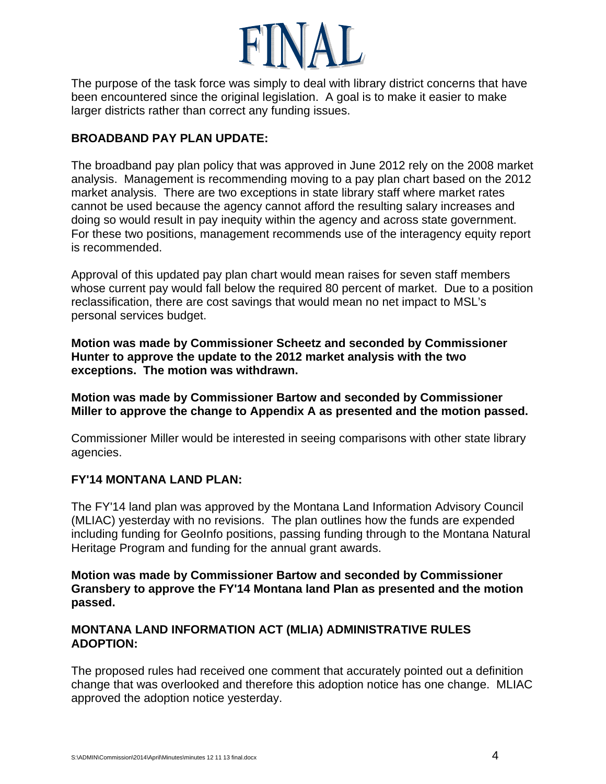

The purpose of the task force was simply to deal with library district concerns that have been encountered since the original legislation. A goal is to make it easier to make larger districts rather than correct any funding issues.

# **BROADBAND PAY PLAN UPDATE:**

The broadband pay plan policy that was approved in June 2012 rely on the 2008 market analysis. Management is recommending moving to a pay plan chart based on the 2012 market analysis. There are two exceptions in state library staff where market rates cannot be used because the agency cannot afford the resulting salary increases and doing so would result in pay inequity within the agency and across state government. For these two positions, management recommends use of the interagency equity report is recommended.

Approval of this updated pay plan chart would mean raises for seven staff members whose current pay would fall below the required 80 percent of market. Due to a position reclassification, there are cost savings that would mean no net impact to MSL's personal services budget.

**Motion was made by Commissioner Scheetz and seconded by Commissioner Hunter to approve the update to the 2012 market analysis with the two exceptions. The motion was withdrawn.** 

**Motion was made by Commissioner Bartow and seconded by Commissioner Miller to approve the change to Appendix A as presented and the motion passed.** 

Commissioner Miller would be interested in seeing comparisons with other state library agencies.

# **FY'14 MONTANA LAND PLAN:**

The FY'14 land plan was approved by the Montana Land Information Advisory Council (MLIAC) yesterday with no revisions. The plan outlines how the funds are expended including funding for GeoInfo positions, passing funding through to the Montana Natural Heritage Program and funding for the annual grant awards.

**Motion was made by Commissioner Bartow and seconded by Commissioner Gransbery to approve the FY'14 Montana land Plan as presented and the motion passed.** 

#### **MONTANA LAND INFORMATION ACT (MLIA) ADMINISTRATIVE RULES ADOPTION:**

The proposed rules had received one comment that accurately pointed out a definition change that was overlooked and therefore this adoption notice has one change. MLIAC approved the adoption notice yesterday.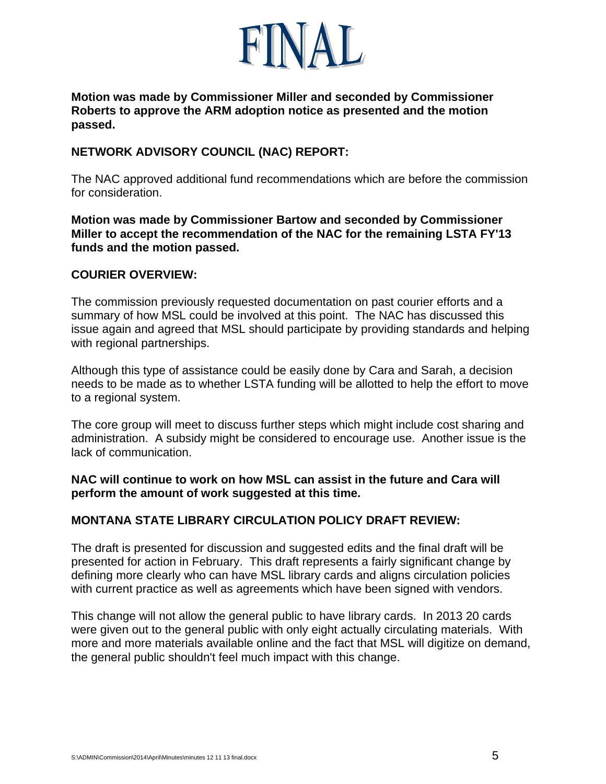

**Motion was made by Commissioner Miller and seconded by Commissioner Roberts to approve the ARM adoption notice as presented and the motion passed.** 

# **NETWORK ADVISORY COUNCIL (NAC) REPORT:**

The NAC approved additional fund recommendations which are before the commission for consideration.

**Motion was made by Commissioner Bartow and seconded by Commissioner Miller to accept the recommendation of the NAC for the remaining LSTA FY'13 funds and the motion passed.** 

# **COURIER OVERVIEW:**

The commission previously requested documentation on past courier efforts and a summary of how MSL could be involved at this point. The NAC has discussed this issue again and agreed that MSL should participate by providing standards and helping with regional partnerships.

Although this type of assistance could be easily done by Cara and Sarah, a decision needs to be made as to whether LSTA funding will be allotted to help the effort to move to a regional system.

The core group will meet to discuss further steps which might include cost sharing and administration. A subsidy might be considered to encourage use. Another issue is the lack of communication.

#### **NAC will continue to work on how MSL can assist in the future and Cara will perform the amount of work suggested at this time.**

# **MONTANA STATE LIBRARY CIRCULATION POLICY DRAFT REVIEW:**

The draft is presented for discussion and suggested edits and the final draft will be presented for action in February. This draft represents a fairly significant change by defining more clearly who can have MSL library cards and aligns circulation policies with current practice as well as agreements which have been signed with vendors.

This change will not allow the general public to have library cards. In 2013 20 cards were given out to the general public with only eight actually circulating materials. With more and more materials available online and the fact that MSL will digitize on demand, the general public shouldn't feel much impact with this change.